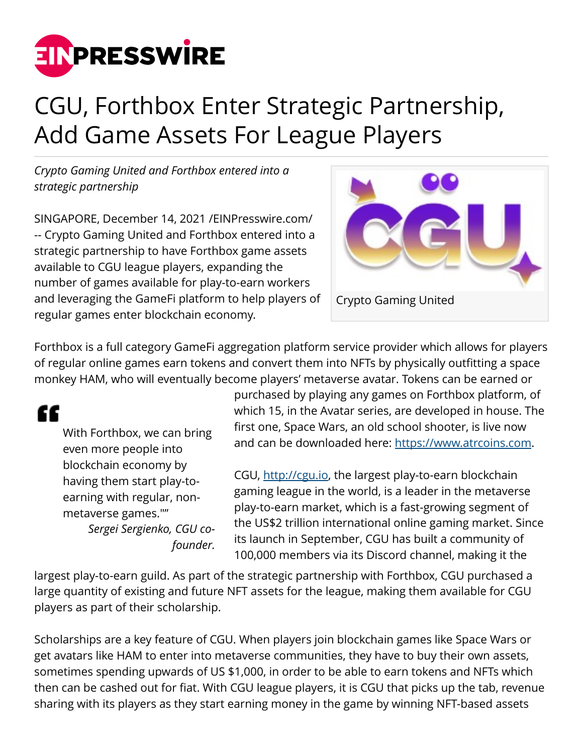

## CGU, Forthbox Enter Strategic Partnership, Add Game Assets For League Players

*Crypto Gaming United and Forthbox entered into a strategic partnership*

SINGAPORE, December 14, 2021 /[EINPresswire.com/](http://www.einpresswire.com) -- Crypto Gaming United and Forthbox entered into a strategic partnership to have Forthbox game assets available to CGU league players, expanding the number of games available for play-to-earn workers and leveraging the GameFi platform to help players of regular games enter blockchain economy.



Forthbox is a full category GameFi aggregation platform service provider which allows for players of regular online games earn tokens and convert them into NFTs by physically outfitting a space monkey HAM, who will eventually become players' metaverse avatar. Tokens can be earned or

"

With Forthbox, we can bring even more people into blockchain economy by having them start play-toearning with regular, nonmetaverse games."" *Sergei Sergienko, CGU cofounder.*

purchased by playing any games on Forthbox platform, of which 15, in the Avatar series, are developed in house. The first one, Space Wars, an old school shooter, is live now and can be downloaded here: <https://www.atrcoins.com>.

CGU, [http://cgu.io,](http://cgu.io) the largest play-to-earn blockchain gaming league in the world, is a leader in the metaverse play-to-earn market, which is a fast-growing segment of the US\$2 trillion international online gaming market. Since its launch in September, CGU has built a community of 100,000 members via its Discord channel, making it the

largest play-to-earn guild. As part of the strategic partnership with Forthbox, CGU purchased a large quantity of existing and future NFT assets for the league, making them available for CGU players as part of their scholarship.

Scholarships are a key feature of CGU. When players join blockchain games like Space Wars or get avatars like HAM to enter into metaverse communities, they have to buy their own assets, sometimes spending upwards of US \$1,000, in order to be able to earn tokens and NFTs which then can be cashed out for fiat. With CGU league players, it is CGU that picks up the tab, revenue sharing with its players as they start earning money in the game by winning NFT-based assets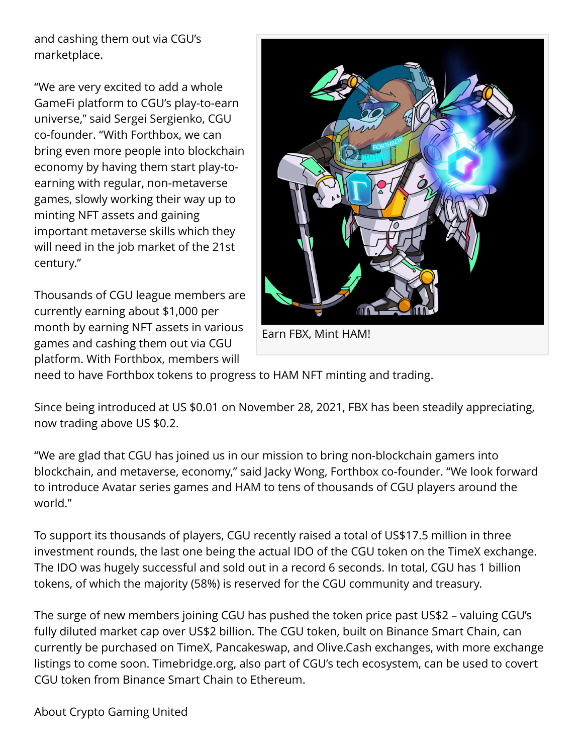and cashing them out via CGU's marketplace.

"We are very excited to add a whole GameFi platform to CGU's play-to-earn universe," said Sergei Sergienko, CGU co-founder. "With Forthbox, we can bring even more people into blockchain economy by having them start play-toearning with regular, non-metaverse games, slowly working their way up to minting NFT assets and gaining important metaverse skills which they will need in the job market of the 21st century."

Thousands of CGU league members are currently earning about \$1,000 per month by earning NFT assets in various games and cashing them out via CGU platform. With Forthbox, members will



need to have Forthbox tokens to progress to HAM NFT minting and trading.

Since being introduced at US \$0.01 on November 28, 2021, FBX has been steadily appreciating, now trading above US \$0.2.

"We are glad that CGU has joined us in our mission to bring non-blockchain gamers into blockchain, and metaverse, economy," said Jacky Wong, Forthbox co-founder. "We look forward to introduce Avatar series games and HAM to tens of thousands of CGU players around the world."

To support its thousands of players, CGU recently raised a total of US\$17.5 million in three investment rounds, the last one being the actual IDO of the CGU token on the TimeX exchange. The IDO was hugely successful and sold out in a record 6 seconds. In total, CGU has 1 billion tokens, of which the majority (58%) is reserved for the CGU community and treasury.

The surge of new members joining CGU has pushed the token price past US\$2 – valuing CGU's fully diluted market cap over US\$2 billion. The CGU token, built on Binance Smart Chain, can currently be purchased on TimeX, Pancakeswap, and Olive.Cash exchanges, with more exchange listings to come soon. Timebridge.org, also part of CGU's tech ecosystem, can be used to covert CGU token from Binance Smart Chain to Ethereum.

About Crypto Gaming United